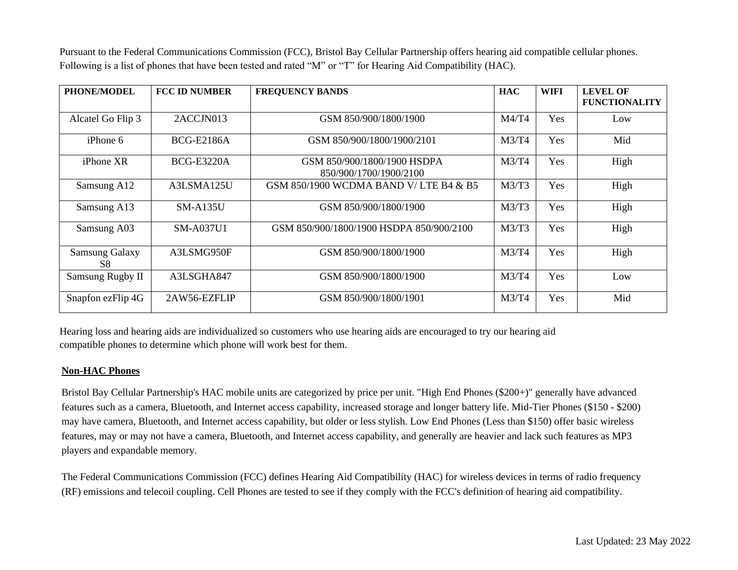Pursuant to the Federal Communications Commission (FCC), Bristol Bay Cellular Partnership offers hearing aid compatible cellular phones. Following is a list of phones that have been tested and rated "M" or "T" for Hearing Aid Compatibility (HAC).

| PHONE/MODEL                        | <b>FCC ID NUMBER</b> | <b>FREQUENCY BANDS</b>                                | <b>HAC</b> | <b>WIFI</b> | <b>LEVEL OF</b><br><b>FUNCTIONALITY</b> |
|------------------------------------|----------------------|-------------------------------------------------------|------------|-------------|-----------------------------------------|
| Alcatel Go Flip 3                  | 2ACCJN013            | GSM 850/900/1800/1900                                 | M4/T4      | Yes         | Low                                     |
| $iP$ hone 6                        | <b>BCG-E2186A</b>    | GSM 850/900/1800/1900/2101                            | M3/T4      | Yes         | Mid                                     |
| iPhone XR                          | <b>BCG-E3220A</b>    | GSM 850/900/1800/1900 HSDPA<br>850/900/1700/1900/2100 | M3/T4      | Yes         | High                                    |
| Samsung A12                        | A3LSMA125U           | GSM 850/1900 WCDMA BAND V/LTE B4 & B5                 | M3/T3      | Yes         | High                                    |
| Samsung A13                        | $SM-A135U$           | GSM 850/900/1800/1900                                 | M3/T3      | Yes         | High                                    |
| Samsung A03                        | <b>SM-A037U1</b>     | GSM 850/900/1800/1900 HSDPA 850/900/2100              | M3/T3      | Yes         | High                                    |
| <b>Samsung Galaxy</b><br><b>S8</b> | A3LSMG950F           | GSM 850/900/1800/1900                                 | M3/T4      | Yes         | High                                    |
| Samsung Rugby II                   | A3LSGHA847           | GSM 850/900/1800/1900                                 | M3/T4      | Yes         | Low                                     |
| Snapfon ezFlip 4G                  | 2AW56-EZFLIP         | GSM 850/900/1800/1901                                 | M3/T4      | Yes         | Mid                                     |

Hearing loss and hearing aids are individualized so customers who use hearing aids are encouraged to try our hearing aid compatible phones to determine which phone will work best for them.

## **Non-HAC Phones**

Bristol Bay Cellular Partnership's HAC mobile units are categorized by price per unit. "High End Phones (\$200+)" generally have advanced features such as a camera, Bluetooth, and Internet access capability, increased storage and longer battery life. Mid-Tier Phones (\$150 - \$200) may have camera, Bluetooth, and Internet access capability, but older or less stylish. Low End Phones (Less than \$150) offer basic wireless features, may or may not have a camera, Bluetooth, and Internet access capability, and generally are heavier and lack such features as MP3 players and expandable memory.

The Federal Communications Commission (FCC) defines Hearing Aid Compatibility (HAC) for wireless devices in terms of radio frequency (RF) emissions and telecoil coupling. Cell Phones are tested to see if they comply with the FCC's definition of hearing aid compatibility.